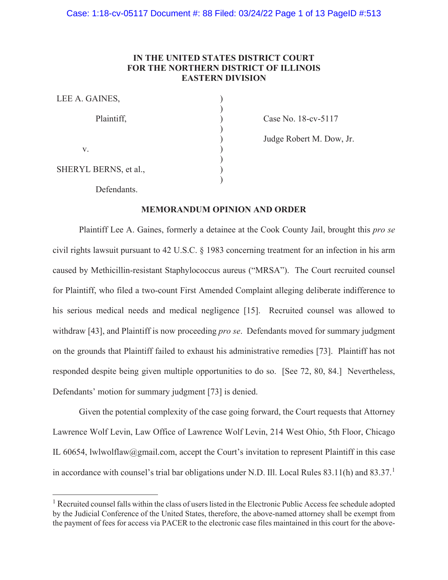# **IN THE UNITED STATES DISTRICT COURT FOR THE NORTHERN DISTRICT OF ILLINOIS EASTERN DIVISION**

| LEE A. GAINES,        |  |
|-----------------------|--|
| Plaintiff,            |  |
|                       |  |
| V.                    |  |
| SHERYL BERNS, et al., |  |
| Dofondonta            |  |

Case No. 18-cv-5117

Judge Robert M. Dow, Jr.

Defendants.

# **MEMORANDUM OPINION AND ORDER**

Plaintiff Lee A. Gaines, formerly a detainee at the Cook County Jail, brought this *pro se* civil rights lawsuit pursuant to 42 U.S.C. § 1983 concerning treatment for an infection in his arm caused by Methicillin-resistant Staphylococcus aureus ("MRSA"). The Court recruited counsel for Plaintiff, who filed a two-count First Amended Complaint alleging deliberate indifference to his serious medical needs and medical negligence [15]. Recruited counsel was allowed to withdraw [43], and Plaintiff is now proceeding *pro se*. Defendants moved for summary judgment on the grounds that Plaintiff failed to exhaust his administrative remedies [73]. Plaintiff has not responded despite being given multiple opportunities to do so. [See 72, 80, 84.] Nevertheless, Defendants' motion for summary judgment [73] is denied.

Given the potential complexity of the case going forward, the Court requests that Attorney Lawrence Wolf Levin, Law Office of Lawrence Wolf Levin, 214 West Ohio, 5th Floor, Chicago IL 60654, lwlwolflaw@gmail.com, accept the Court's invitation to represent Plaintiff in this case in accordance with counsel's trial bar obligations under N.D. Ill. Local Rules  $83.11(h)$  and  $83.37<sup>1</sup>$ 

<sup>&</sup>lt;sup>1</sup> Recruited counsel falls within the class of users listed in the Electronic Public Access fee schedule adopted by the Judicial Conference of the United States, therefore, the above-named attorney shall be exempt from the payment of fees for access via PACER to the electronic case files maintained in this court for the above-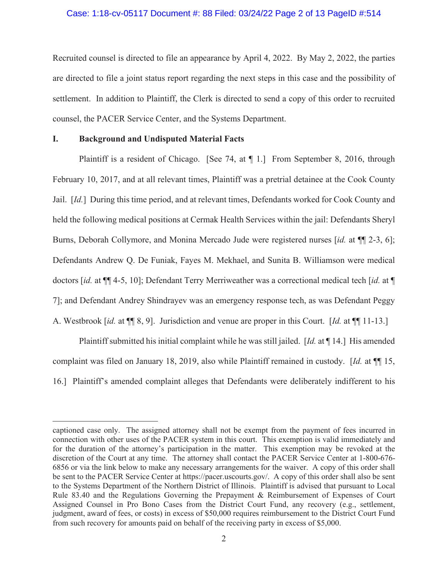# Case: 1:18-cv-05117 Document #: 88 Filed: 03/24/22 Page 2 of 13 PageID #:514

Recruited counsel is directed to file an appearance by April 4, 2022. By May 2, 2022, the parties are directed to file a joint status report regarding the next steps in this case and the possibility of settlement. In addition to Plaintiff, the Clerk is directed to send a copy of this order to recruited counsel, the PACER Service Center, and the Systems Department.

# **I. Background and Undisputed Material Facts**

Plaintiff is a resident of Chicago. [See 74, at ¶ 1.] From September 8, 2016, through February 10, 2017, and at all relevant times, Plaintiff was a pretrial detainee at the Cook County Jail. [*Id.*] During this time period, and at relevant times, Defendants worked for Cook County and held the following medical positions at Cermak Health Services within the jail: Defendants Sheryl Burns, Deborah Collymore, and Monina Mercado Jude were registered nurses [*id.* at ¶¶ 2-3, 6]; Defendants Andrew Q. De Funiak, Fayes M. Mekhael, and Sunita B. Williamson were medical doctors [*id.* at ¶¶ 4-5, 10]; Defendant Terry Merriweather was a correctional medical tech [*id.* at ¶ 7]; and Defendant Andrey Shindrayev was an emergency response tech, as was Defendant Peggy A. Westbrook [*id.* at ¶¶ 8, 9]. Jurisdiction and venue are proper in this Court. [*Id.* at ¶¶ 11-13.]

Plaintiff submitted his initial complaint while he was still jailed. [*Id.* at ¶ 14.] His amended complaint was filed on January 18, 2019, also while Plaintiff remained in custody. [*Id.* at ¶¶ 15, 16.] Plaintiff's amended complaint alleges that Defendants were deliberately indifferent to his

captioned case only. The assigned attorney shall not be exempt from the payment of fees incurred in connection with other uses of the PACER system in this court. This exemption is valid immediately and for the duration of the attorney's participation in the matter. This exemption may be revoked at the discretion of the Court at any time. The attorney shall contact the PACER Service Center at 1-800-676- 6856 or via the link below to make any necessary arrangements for the waiver. A copy of this order shall be sent to the PACER Service Center at https://pacer.uscourts.gov/. A copy of this order shall also be sent to the Systems Department of the Northern District of Illinois. Plaintiff is advised that pursuant to Local Rule 83.40 and the Regulations Governing the Prepayment & Reimbursement of Expenses of Court Assigned Counsel in Pro Bono Cases from the District Court Fund, any recovery (e.g., settlement, judgment, award of fees, or costs) in excess of \$50,000 requires reimbursement to the District Court Fund from such recovery for amounts paid on behalf of the receiving party in excess of \$5,000.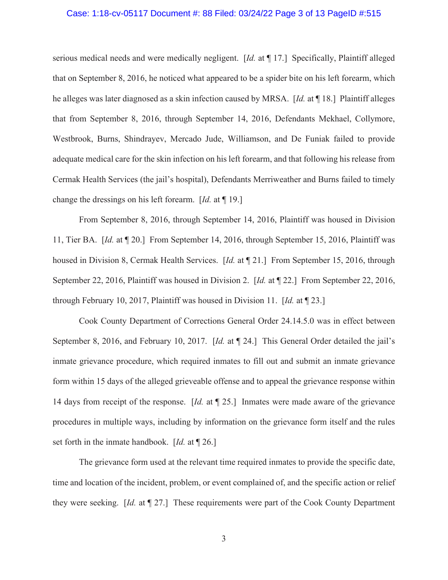# Case: 1:18-cv-05117 Document #: 88 Filed: 03/24/22 Page 3 of 13 PageID #:515

serious medical needs and were medically negligent. [*Id.* at ¶ 17.] Specifically, Plaintiff alleged that on September 8, 2016, he noticed what appeared to be a spider bite on his left forearm, which he alleges was later diagnosed as a skin infection caused by MRSA. [*Id.* at ¶ 18.] Plaintiff alleges that from September 8, 2016, through September 14, 2016, Defendants Mekhael, Collymore, Westbrook, Burns, Shindrayev, Mercado Jude, Williamson, and De Funiak failed to provide adequate medical care for the skin infection on his left forearm, and that following his release from Cermak Health Services (the jail's hospital), Defendants Merriweather and Burns failed to timely change the dressings on his left forearm. [*Id.* at ¶ 19.]

From September 8, 2016, through September 14, 2016, Plaintiff was housed in Division 11, Tier BA. [*Id.* at ¶ 20.] From September 14, 2016, through September 15, 2016, Plaintiff was housed in Division 8, Cermak Health Services. [*Id.* at ¶ 21.] From September 15, 2016, through September 22, 2016, Plaintiff was housed in Division 2. [*Id.* at ¶ 22.] From September 22, 2016, through February 10, 2017, Plaintiff was housed in Division 11. [*Id.* at ¶ 23.]

Cook County Department of Corrections General Order 24.14.5.0 was in effect between September 8, 2016, and February 10, 2017. [*Id.* at ¶ 24.] This General Order detailed the jail's inmate grievance procedure, which required inmates to fill out and submit an inmate grievance form within 15 days of the alleged grieveable offense and to appeal the grievance response within 14 days from receipt of the response. [*Id.* at ¶ 25.] Inmates were made aware of the grievance procedures in multiple ways, including by information on the grievance form itself and the rules set forth in the inmate handbook. [*Id.* at ¶ 26.]

The grievance form used at the relevant time required inmates to provide the specific date, time and location of the incident, problem, or event complained of, and the specific action or relief they were seeking. [*Id.* at ¶ 27.] These requirements were part of the Cook County Department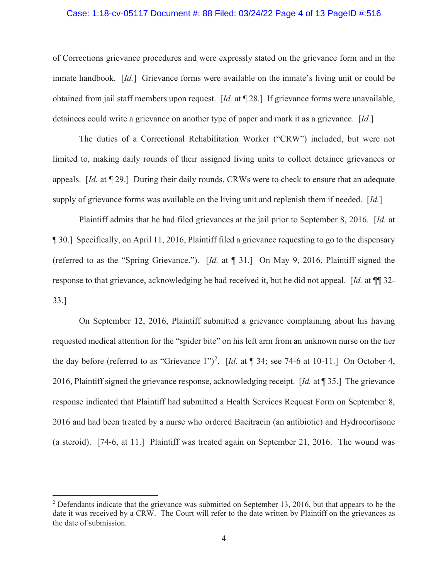# Case: 1:18-cv-05117 Document #: 88 Filed: 03/24/22 Page 4 of 13 PageID #:516

of Corrections grievance procedures and were expressly stated on the grievance form and in the inmate handbook. [*Id.*] Grievance forms were available on the inmate's living unit or could be obtained from jail staff members upon request. [*Id.* at ¶ 28.] If grievance forms were unavailable, detainees could write a grievance on another type of paper and mark it as a grievance. [*Id.*]

The duties of a Correctional Rehabilitation Worker ("CRW") included, but were not limited to, making daily rounds of their assigned living units to collect detainee grievances or appeals. [*Id.* at ¶ 29.] During their daily rounds, CRWs were to check to ensure that an adequate supply of grievance forms was available on the living unit and replenish them if needed. [*Id.*]

Plaintiff admits that he had filed grievances at the jail prior to September 8, 2016. [*Id.* at ¶ 30.] Specifically, on April 11, 2016, Plaintiff filed a grievance requesting to go to the dispensary (referred to as the "Spring Grievance."). [*Id.* at ¶ 31.] On May 9, 2016, Plaintiff signed the response to that grievance, acknowledging he had received it, but he did not appeal. [*Id.* at ¶¶ 32- 33.]

On September 12, 2016, Plaintiff submitted a grievance complaining about his having requested medical attention for the "spider bite" on his left arm from an unknown nurse on the tier the day before (referred to as "Grievance 1")<sup>2</sup>. [*Id.* at  $\llbracket 34$ ; see 74-6 at 10-11.] On October 4, 2016, Plaintiff signed the grievance response, acknowledging receipt. [*Id.* at ¶ 35.] The grievance response indicated that Plaintiff had submitted a Health Services Request Form on September 8, 2016 and had been treated by a nurse who ordered Bacitracin (an antibiotic) and Hydrocortisone (a steroid). [74-6, at 11.] Plaintiff was treated again on September 21, 2016. The wound was

 $2$  Defendants indicate that the grievance was submitted on September 13, 2016, but that appears to be the date it was received by a CRW. The Court will refer to the date written by Plaintiff on the grievances as the date of submission.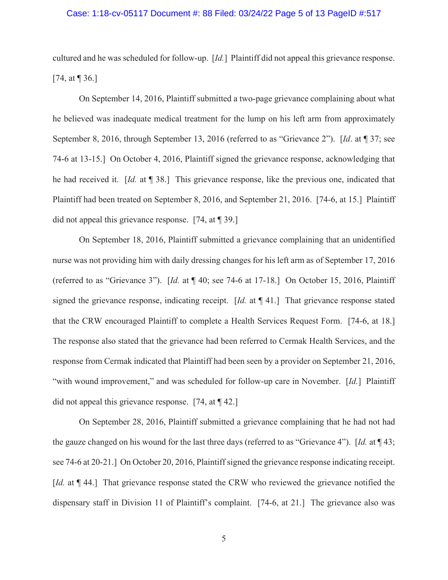# Case: 1:18-cv-05117 Document #: 88 Filed: 03/24/22 Page 5 of 13 PageID #:517

cultured and he was scheduled for follow-up. [*Id.*] Plaintiff did not appeal this grievance response. [74, at ¶ 36.]

On September 14, 2016, Plaintiff submitted a two-page grievance complaining about what he believed was inadequate medical treatment for the lump on his left arm from approximately September 8, 2016, through September 13, 2016 (referred to as "Grievance 2"). [*Id*. at ¶ 37; see 74-6 at 13-15.] On October 4, 2016, Plaintiff signed the grievance response, acknowledging that he had received it. [*Id.* at ¶ 38.] This grievance response, like the previous one, indicated that Plaintiff had been treated on September 8, 2016, and September 21, 2016. [74-6, at 15.] Plaintiff did not appeal this grievance response. [74, at ¶ 39.]

On September 18, 2016, Plaintiff submitted a grievance complaining that an unidentified nurse was not providing him with daily dressing changes for his left arm as of September 17, 2016 (referred to as "Grievance 3"). [*Id.* at ¶ 40; see 74-6 at 17-18.] On October 15, 2016, Plaintiff signed the grievance response, indicating receipt. [*Id.* at ¶ 41.] That grievance response stated that the CRW encouraged Plaintiff to complete a Health Services Request Form. [74-6, at 18.] The response also stated that the grievance had been referred to Cermak Health Services, and the response from Cermak indicated that Plaintiff had been seen by a provider on September 21, 2016, "with wound improvement," and was scheduled for follow-up care in November. [*Id.*] Plaintiff did not appeal this grievance response. [74, at [42.]

On September 28, 2016, Plaintiff submitted a grievance complaining that he had not had the gauze changed on his wound for the last three days (referred to as "Grievance 4"). [*Id.* at ¶ 43; see 74-6 at 20-21.] On October 20, 2016, Plaintiff signed the grievance response indicating receipt. [*Id.* at ¶ 44.] That grievance response stated the CRW who reviewed the grievance notified the dispensary staff in Division 11 of Plaintiff's complaint. [74-6, at 21.] The grievance also was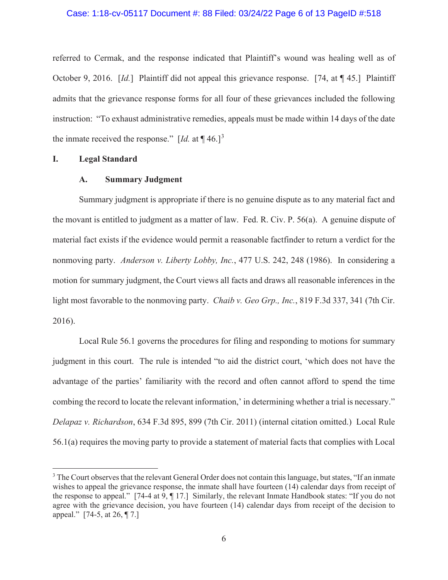# Case: 1:18-cv-05117 Document #: 88 Filed: 03/24/22 Page 6 of 13 PageID #:518

referred to Cermak, and the response indicated that Plaintiff's wound was healing well as of October 9, 2016. [*Id.*] Plaintiff did not appeal this grievance response. [74, at ¶ 45.] Plaintiff admits that the grievance response forms for all four of these grievances included the following instruction: "To exhaust administrative remedies, appeals must be made within 14 days of the date the inmate received the response."  $\left[ Id. \right]$  at  $\P$  46.]<sup>3</sup>

# **I. Legal Standard**

# **A. Summary Judgment**

Summary judgment is appropriate if there is no genuine dispute as to any material fact and the movant is entitled to judgment as a matter of law. Fed. R. Civ. P. 56(a). A genuine dispute of material fact exists if the evidence would permit a reasonable factfinder to return a verdict for the nonmoving party. *Anderson v. Liberty Lobby, Inc.*, 477 U.S. 242, 248 (1986). In considering a motion for summary judgment, the Court views all facts and draws all reasonable inferences in the light most favorable to the nonmoving party. *Chaib v. Geo Grp., Inc.*, 819 F.3d 337, 341 (7th Cir. 2016).

Local Rule 56.1 governs the procedures for filing and responding to motions for summary judgment in this court. The rule is intended "to aid the district court, 'which does not have the advantage of the parties' familiarity with the record and often cannot afford to spend the time combing the record to locate the relevant information,' in determining whether a trial is necessary." *Delapaz v. Richardson*, 634 F.3d 895, 899 (7th Cir. 2011) (internal citation omitted.)Local Rule 56.1(a) requires the moving party to provide a statement of material facts that complies with Local

 $3$  The Court observes that the relevant General Order does not contain this language, but states, "If an inmate wishes to appeal the grievance response, the inmate shall have fourteen (14) calendar days from receipt of the response to appeal." [74-4 at 9, ¶ 17.] Similarly, the relevant Inmate Handbook states: "If you do not agree with the grievance decision, you have fourteen (14) calendar days from receipt of the decision to appeal." [74-5, at 26, ¶ 7.]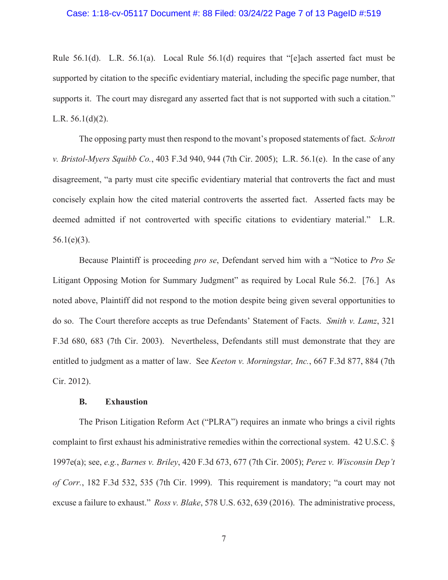## Case: 1:18-cv-05117 Document #: 88 Filed: 03/24/22 Page 7 of 13 PageID #:519

Rule 56.1(d). L.R. 56.1(a). Local Rule 56.1(d) requires that "[e]ach asserted fact must be supported by citation to the specific evidentiary material, including the specific page number, that supports it. The court may disregard any asserted fact that is not supported with such a citation." L.R.  $56.1(d)(2)$ .

The opposing party must then respond to the movant's proposed statements of fact. *Schrott v. Bristol-Myers Squibb Co.*, 403 F.3d 940, 944 (7th Cir. 2005); L.R. 56.1(e). In the case of any disagreement, "a party must cite specific evidentiary material that controverts the fact and must concisely explain how the cited material controverts the asserted fact. Asserted facts may be deemed admitted if not controverted with specific citations to evidentiary material." L.R.  $56.1(e)(3)$ .

Because Plaintiff is proceeding *pro se*, Defendant served him with a "Notice to *Pro Se* Litigant Opposing Motion for Summary Judgment" as required by Local Rule 56.2. [76.] As noted above, Plaintiff did not respond to the motion despite being given several opportunities to do so. The Court therefore accepts as true Defendants' Statement of Facts. *Smith v. Lamz*, 321 F.3d 680, 683 (7th Cir. 2003). Nevertheless, Defendants still must demonstrate that they are entitled to judgment as a matter of law. See *Keeton v. Morningstar, Inc.*, 667 F.3d 877, 884 (7th Cir. 2012).

#### **B. Exhaustion**

The Prison Litigation Reform Act ("PLRA") requires an inmate who brings a civil rights complaint to first exhaust his administrative remedies within the correctional system. 42 U.S.C. § 1997e(a); see, *e.g.*, *Barnes v. Briley*, 420 F.3d 673, 677 (7th Cir. 2005); *Perez v. Wisconsin Dep't of Corr.*, 182 F.3d 532, 535 (7th Cir. 1999). This requirement is mandatory; "a court may not excuse a failure to exhaust." *Ross v. Blake*, 578 U.S. 632, 639 (2016). The administrative process,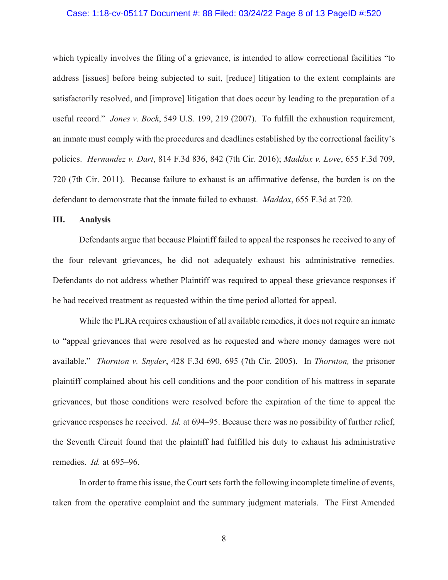# Case: 1:18-cv-05117 Document #: 88 Filed: 03/24/22 Page 8 of 13 PageID #:520

which typically involves the filing of a grievance, is intended to allow correctional facilities "to address [issues] before being subjected to suit, [reduce] litigation to the extent complaints are satisfactorily resolved, and [improve] litigation that does occur by leading to the preparation of a useful record." *Jones v. Bock*, 549 U.S. 199, 219 (2007). To fulfill the exhaustion requirement, an inmate must comply with the procedures and deadlines established by the correctional facility's policies. *Hernandez v. Dart*, 814 F.3d 836, 842 (7th Cir. 2016); *Maddox v. Love*, 655 F.3d 709, 720 (7th Cir. 2011). Because failure to exhaust is an affirmative defense, the burden is on the defendant to demonstrate that the inmate failed to exhaust. *Maddox*, 655 F.3d at 720.

# **III. Analysis**

Defendants argue that because Plaintiff failed to appeal the responses he received to any of the four relevant grievances, he did not adequately exhaust his administrative remedies. Defendants do not address whether Plaintiff was required to appeal these grievance responses if he had received treatment as requested within the time period allotted for appeal.

While the PLRA requires exhaustion of all available remedies, it does not require an inmate to "appeal grievances that were resolved as he requested and where money damages were not available." *Thornton v. Snyder*, 428 F.3d 690, 695 (7th Cir. 2005). In *Thornton,* the prisoner plaintiff complained about his cell conditions and the poor condition of his mattress in separate grievances, but those conditions were resolved before the expiration of the time to appeal the grievance responses he received. *Id.* at 694–95. Because there was no possibility of further relief, the Seventh Circuit found that the plaintiff had fulfilled his duty to exhaust his administrative remedies. *Id.* at 695–96.

In order to frame this issue, the Court sets forth the following incomplete timeline of events, taken from the operative complaint and the summary judgment materials. The First Amended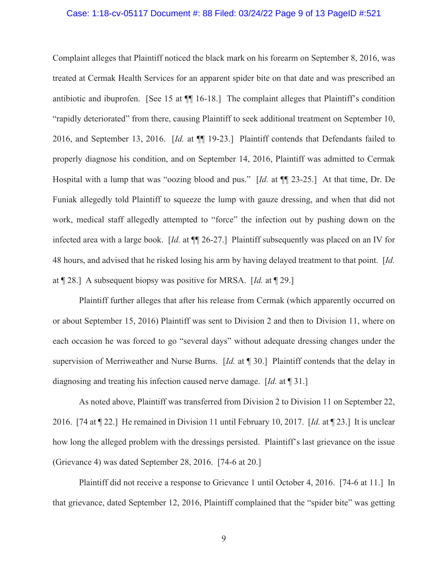# Case: 1:18-cv-05117 Document #: 88 Filed: 03/24/22 Page 9 of 13 PageID #:521

Complaint alleges that Plaintiff noticed the black mark on his forearm on September 8, 2016, was treated at Cermak Health Services for an apparent spider bite on that date and was prescribed an antibiotic and ibuprofen. [See 15 at ¶¶ 16-18.] The complaint alleges that Plaintiff's condition "rapidly deteriorated" from there, causing Plaintiff to seek additional treatment on September 10, 2016, and September 13, 2016. [*Id.* at ¶¶ 19-23.] Plaintiff contends that Defendants failed to properly diagnose his condition, and on September 14, 2016, Plaintiff was admitted to Cermak Hospital with a lump that was "oozing blood and pus." [*Id.* at ¶¶ 23-25.] At that time, Dr. De Funiak allegedly told Plaintiff to squeeze the lump with gauze dressing, and when that did not work, medical staff allegedly attempted to "force" the infection out by pushing down on the infected area with a large book. [*Id.* at ¶¶ 26-27.] Plaintiff subsequently was placed on an IV for 48 hours, and advised that he risked losing his arm by having delayed treatment to that point. [*Id.* at ¶ 28.] A subsequent biopsy was positive for MRSA. [*Id.* at ¶ 29.]

Plaintiff further alleges that after his release from Cermak (which apparently occurred on or about September 15, 2016) Plaintiff was sent to Division 2 and then to Division 11, where on each occasion he was forced to go "several days" without adequate dressing changes under the supervision of Merriweather and Nurse Burns. [*Id.* at ¶ 30.] Plaintiff contends that the delay in diagnosing and treating his infection caused nerve damage. [*Id.* at ¶ 31.]

As noted above, Plaintiff was transferred from Division 2 to Division 11 on September 22, 2016. [74 at ¶ 22.] He remained in Division 11 until February 10, 2017. [*Id.* at ¶ 23.] It is unclear how long the alleged problem with the dressings persisted. Plaintiff's last grievance on the issue (Grievance 4) was dated September 28, 2016. [74-6 at 20.]

Plaintiff did not receive a response to Grievance 1 until October 4, 2016. [74-6 at 11.] In that grievance, dated September 12, 2016, Plaintiff complained that the "spider bite" was getting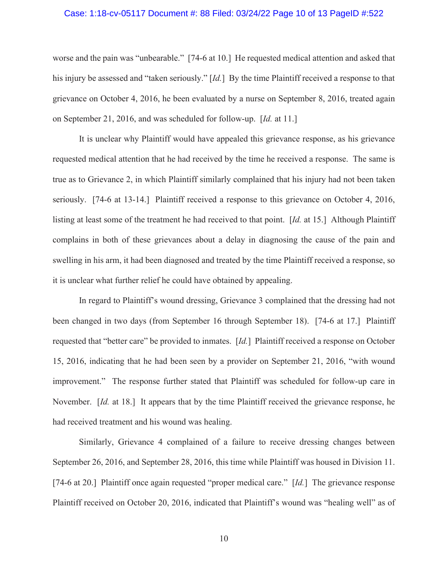## Case: 1:18-cv-05117 Document #: 88 Filed: 03/24/22 Page 10 of 13 PageID #:522

worse and the pain was "unbearable." [74-6 at 10.] He requested medical attention and asked that his injury be assessed and "taken seriously." [*Id.*] By the time Plaintiff received a response to that grievance on October 4, 2016, he been evaluated by a nurse on September 8, 2016, treated again on September 21, 2016, and was scheduled for follow-up. [*Id.* at 11.]

 It is unclear why Plaintiff would have appealed this grievance response, as his grievance requested medical attention that he had received by the time he received a response. The same is true as to Grievance 2, in which Plaintiff similarly complained that his injury had not been taken seriously. [74-6 at 13-14.] Plaintiff received a response to this grievance on October 4, 2016, listing at least some of the treatment he had received to that point. [*Id.* at 15.] Although Plaintiff complains in both of these grievances about a delay in diagnosing the cause of the pain and swelling in his arm, it had been diagnosed and treated by the time Plaintiff received a response, so it is unclear what further relief he could have obtained by appealing.

 In regard to Plaintiff's wound dressing, Grievance 3 complained that the dressing had not been changed in two days (from September 16 through September 18). [74-6 at 17.] Plaintiff requested that "better care" be provided to inmates. [*Id.*] Plaintiff received a response on October 15, 2016, indicating that he had been seen by a provider on September 21, 2016, "with wound improvement." The response further stated that Plaintiff was scheduled for follow-up care in November. [*Id.* at 18.] It appears that by the time Plaintiff received the grievance response, he had received treatment and his wound was healing.

 Similarly, Grievance 4 complained of a failure to receive dressing changes between September 26, 2016, and September 28, 2016, this time while Plaintiff was housed in Division 11. [74-6 at 20.] Plaintiff once again requested "proper medical care." [*Id.*] The grievance response Plaintiff received on October 20, 2016, indicated that Plaintiff's wound was "healing well" as of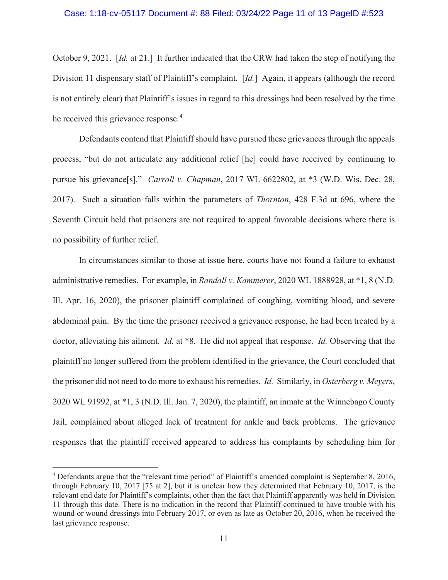# Case: 1:18-cv-05117 Document #: 88 Filed: 03/24/22 Page 11 of 13 PageID #:523

October 9, 2021. [*Id.* at 21.] It further indicated that the CRW had taken the step of notifying the Division 11 dispensary staff of Plaintiff's complaint. [*Id.*] Again, it appears (although the record is not entirely clear) that Plaintiff's issues in regard to this dressings had been resolved by the time he received this grievance response.<sup>4</sup>

 Defendants contend that Plaintiff should have pursued these grievances through the appeals process, "but do not articulate any additional relief [he] could have received by continuing to pursue his grievance[s]." *Carroll v. Chapman*, 2017 WL 6622802, at \*3 (W.D. Wis. Dec. 28, 2017). Such a situation falls within the parameters of *Thornton*, 428 F.3d at 696, where the Seventh Circuit held that prisoners are not required to appeal favorable decisions where there is no possibility of further relief.

 In circumstances similar to those at issue here, courts have not found a failure to exhaust administrative remedies. For example, in *Randall v. Kammerer*, 2020 WL 1888928, at \*1, 8 (N.D. Ill. Apr. 16, 2020), the prisoner plaintiff complained of coughing, vomiting blood, and severe abdominal pain. By the time the prisoner received a grievance response, he had been treated by a doctor, alleviating his ailment. *Id.* at \*8. He did not appeal that response. *Id.* Observing that the plaintiff no longer suffered from the problem identified in the grievance, the Court concluded that the prisoner did not need to do more to exhaust his remedies. *Id.* Similarly, in *Osterberg v. Meyers*, 2020 WL 91992, at \*1, 3 (N.D. Ill. Jan. 7, 2020), the plaintiff, an inmate at the Winnebago County Jail, complained about alleged lack of treatment for ankle and back problems. The grievance responses that the plaintiff received appeared to address his complaints by scheduling him for

<sup>&</sup>lt;sup>4</sup> Defendants argue that the "relevant time period" of Plaintiff's amended complaint is September 8, 2016, through February 10, 2017 [75 at 2], but it is unclear how they determined that February 10, 2017, is the relevant end date for Plaintiff's complaints, other than the fact that Plaintiff apparently was held in Division 11 through this date. There is no indication in the record that Plaintiff continued to have trouble with his wound or wound dressings into February 2017, or even as late as October 20, 2016, when he received the last grievance response.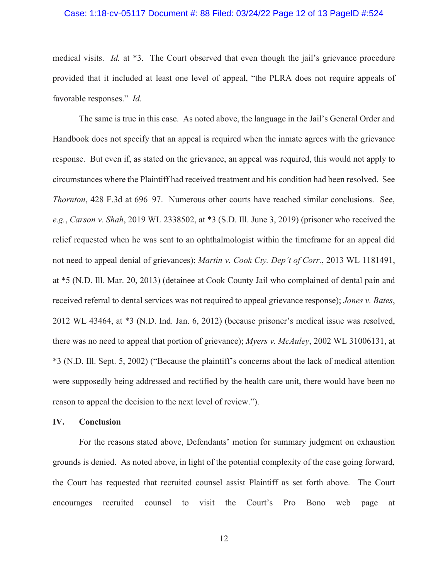# Case: 1:18-cv-05117 Document #: 88 Filed: 03/24/22 Page 12 of 13 PageID #:524

medical visits. *Id.* at \*3. The Court observed that even though the jail's grievance procedure provided that it included at least one level of appeal, "the PLRA does not require appeals of favorable responses." *Id.*

The same is true in this case. As noted above, the language in the Jail's General Order and Handbook does not specify that an appeal is required when the inmate agrees with the grievance response. But even if, as stated on the grievance, an appeal was required, this would not apply to circumstances where the Plaintiff had received treatment and his condition had been resolved. See *Thornton*, 428 F.3d at 696–97. Numerous other courts have reached similar conclusions. See, *e.g.*, *Carson v. Shah*, 2019 WL 2338502, at \*3 (S.D. Ill. June 3, 2019) (prisoner who received the relief requested when he was sent to an ophthalmologist within the timeframe for an appeal did not need to appeal denial of grievances); *Martin v. Cook Cty. Dep't of Corr.*, 2013 WL 1181491, at \*5 (N.D. Ill. Mar. 20, 2013) (detainee at Cook County Jail who complained of dental pain and received referral to dental services was not required to appeal grievance response); *Jones v. Bates*, 2012 WL 43464, at \*3 (N.D. Ind. Jan. 6, 2012) (because prisoner's medical issue was resolved, there was no need to appeal that portion of grievance); *Myers v. McAuley*, 2002 WL 31006131, at \*3 (N.D. Ill. Sept. 5, 2002) ("Because the plaintiff's concerns about the lack of medical attention were supposedly being addressed and rectified by the health care unit, there would have been no reason to appeal the decision to the next level of review.").

# **IV. Conclusion**

 For the reasons stated above, Defendants' motion for summary judgment on exhaustion grounds is denied. As noted above, in light of the potential complexity of the case going forward, the Court has requested that recruited counsel assist Plaintiff as set forth above. The Court encourages recruited counsel to visit the Court's Pro Bono web page at